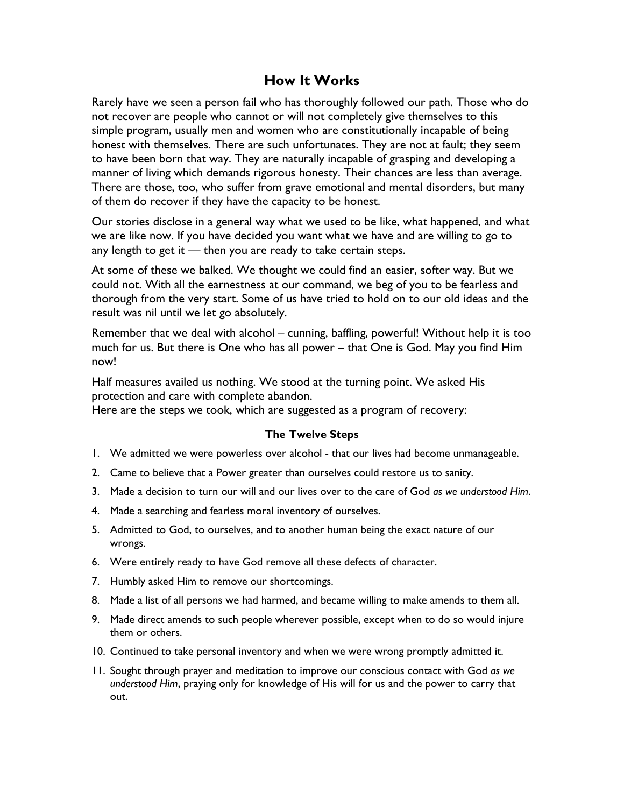## **How It Works**

Rarely have we seen a person fail who has thoroughly followed our path. Those who do not recover are people who cannot or will not completely give themselves to this simple program, usually men and women who are constitutionally incapable of being honest with themselves. There are such unfortunates. They are not at fault; they seem to have been born that way. They are naturally incapable of grasping and developing a manner of living which demands rigorous honesty. Their chances are less than average. There are those, too, who suffer from grave emotional and mental disorders, but many of them do recover if they have the capacity to be honest.

Our stories disclose in a general way what we used to be like, what happened, and what we are like now. If you have decided you want what we have and are willing to go to any length to get it — then you are ready to take certain steps.

At some of these we balked. We thought we could find an easier, softer way. But we could not. With all the earnestness at our command, we beg of you to be fearless and thorough from the very start. Some of us have tried to hold on to our old ideas and the result was nil until we let go absolutely.

Remember that we deal with alcohol – cunning, baffling, powerful! Without help it is too much for us. But there is One who has all power – that One is God. May you find Him now!

Half measures availed us nothing. We stood at the turning point. We asked His protection and care with complete abandon.

Here are the steps we took, which are suggested as a program of recovery:

## **The Twelve Steps**

- 1. We admitted we were powerless over alcohol that our lives had become unmanageable.
- 2. Came to believe that a Power greater than ourselves could restore us to sanity.
- 3. Made a decision to turn our will and our lives over to the care of God *as we understood Him*.
- 4. Made a searching and fearless moral inventory of ourselves.
- 5. Admitted to God, to ourselves, and to another human being the exact nature of our wrongs.
- 6. Were entirely ready to have God remove all these defects of character.
- 7. Humbly asked Him to remove our shortcomings.
- 8. Made a list of all persons we had harmed, and became willing to make amends to them all.
- 9. Made direct amends to such people wherever possible, except when to do so would injure them or others.
- 10. Continued to take personal inventory and when we were wrong promptly admitted it.
- 11. Sought through prayer and meditation to improve our conscious contact with God *as we understood Him*, praying only for knowledge of His will for us and the power to carry that out.